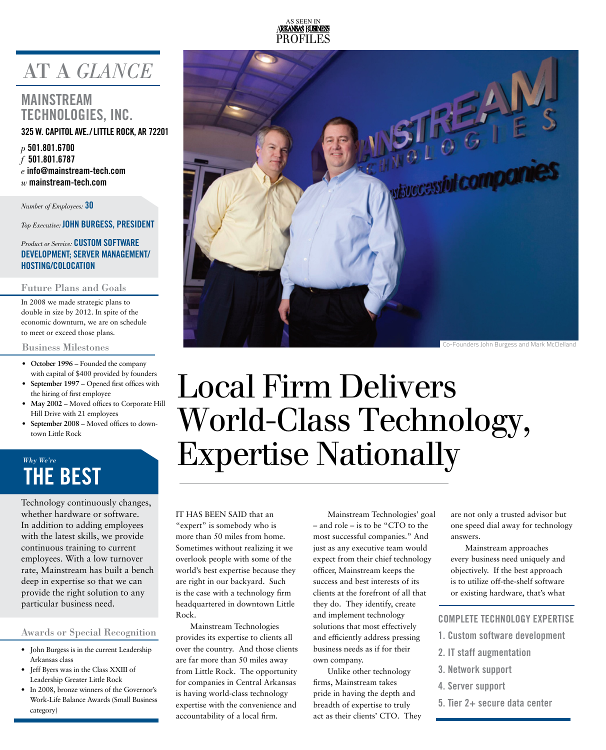

# AT A *GLANCE*

### **MAINSTREAM TECHNOLOGIES, INC. 325 W. Capitol Ave./ Little Rock, AR 72201**

*p* **501.801.6700** *f* **501.801.6787** *e* **info@mainstream-tech.com**  *w* **mainstream-tech.com**

*Number of Employees:* **30**

*Top Executive:* **JOHN Burgess, President**

#### *Product or Service:* **CUSTOM SOFTWARE DEVELOPMENT; SERVER MANAGEMENT/ HOSTINg/CoLOCATION**

#### Future Plans and Goals

In 2008 we made strategic plans to double in size by 2012. In spite of the economic downturn, we are on schedule to meet or exceed those plans.

#### Business Milestones

- **• October 1996** Founded the company with capital of \$400 provided by founders
- **• September 1997** Opened first offices with the hiring of first employee
- **• May 2002** Moved offices to Corporate Hill Hill Drive with 21 employees
- **• September 2008** Moved offices to downtown Little Rock

## **THE BEST** *Why We're*

Technology continuously changes, whether hardware or software. In addition to adding employees with the latest skills, we provide continuous training to current employees. With a low turnover rate, Mainstream has built a bench deep in expertise so that we can provide the right solution to any particular business need.

#### Awards or Special Recognition

- John Burgess is in the current Leadership Arkansas class
- Jeff Byers was in the Class XXIII of Leadership Greater Little Rock
- In 2008, bronze winners of the Governor's Work-Life Balance Awards (Small Business category)



# Local Firm Delivers World-Class Technology, Expertise Nationally

IT HAS BEEN SAID that an "expert" is somebody who is more than 50 miles from home. Sometimes without realizing it we overlook people with some of the world's best expertise because they are right in our backyard. Such is the case with a technology firm headquartered in downtown Little Rock.

Mainstream Technologies provides its expertise to clients all over the country. And those clients are far more than 50 miles away from Little Rock. The opportunity for companies in Central Arkansas is having world-class technology expertise with the convenience and accountability of a local firm.

Mainstream Technologies' goal – and role – is to be "CTO to the most successful companies." And just as any executive team would expect from their chief technology officer, Mainstream keeps the success and best interests of its clients at the forefront of all that they do. They identify, create and implement technology solutions that most effectively and efficiently address pressing business needs as if for their own company.

Unlike other technology firms, Mainstream takes pride in having the depth and breadth of expertise to truly act as their clients' CTO. They are not only a trusted advisor but one speed dial away for technology answers.

Mainstream approaches every business need uniquely and objectively. If the best approach is to utilize off-the-shelf software or existing hardware, that's what

#### **Complete Technology Expertise**

- **1. Custom software development**
- **2. IT staff augmentation**
- **3. Network support**
- **4. Server support**
- **5. Tier 2+ secure data center**